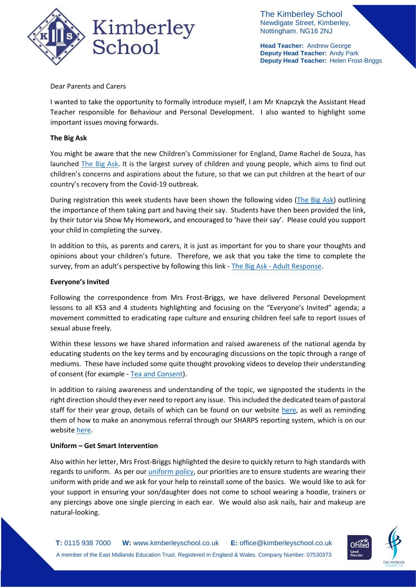

The Kimberley School Newdigate Street, Kimberley, Nottingham. NG16 2NJ

**Head Teacher:** Andrew George **Deputy Head Teacher:** Andy Park **Deputy Head Teacher:** Helen Frost-Briggs

Dear Parents and Carers

I wanted to take the opportunity to formally introduce myself, I am Mr Knapczyk the Assistant Head Teacher responsible for Behaviour and Personal Development. I also wanted to highlight some important issues moving forwards.

## **The Big Ask**

You might be aware that the new Children's Commissioner for England, Dame Rachel de Souza, has launched [The Big Ask.](http://thebigask.uk/) It is the largest survey of children and young people, which aims to find out children's concerns and aspirations about the future, so that we can put children at the heart of our country's recovery from the Covid-19 outbreak.

During registration this week students have been shown the following video [\(The Big Ask\)](https://www.youtube.com/watch?v=rHV4b5iwwmk) outlining the importance of them taking part and having their say. Students have then been provided the link, by their tutor via Show My Homework, and encouraged to 'have their say'. Please could you support your child in completing the survey.

In addition to this, as parents and carers, it is just as important for you to share your thoughts and opinions about your children's future. Therefore, we ask that you take the time to complete the survey, from an adult's perspective by following this link - The Big Ask - [Adult Response.](https://www.childrenscommissioner.gov.uk/thebigask/adult-survey/)

## **Everyone's Invited**

Following the correspondence from Mrs Frost-Briggs, we have delivered Personal Development lessons to all KS3 and 4 students highlighting and focusing on the "Everyone's Invited" agenda; a movement committed to eradicating rape culture and ensuring children feel safe to report issues of sexual abuse freely.

Within these lessons we have shared information and raised awareness of the national agenda by educating students on the key terms and by encouraging discussions on the topic through a range of mediums. These have included some quite thought provoking videos to develop their understanding of consent (for example - [Tea and Consent\)](https://www.youtube.com/watch?v=pZwvrxVavnQ).

In addition to raising awareness and understanding of the topic, we signposted the students in the right direction should they ever need to report any issue. This included the dedicated team of pastoral staff for their year group, details of which can be found on our website [here,](https://www.kimberleyschool.co.uk/contact) as well as reminding them of how to make an anonymous referral through our SHARPS reporting system, which is on our websit[e here.](https://kimberley.thesharpsystem.com/)

## **Uniform – Get Smart Intervention**

Also within her letter, Mrs Frost-Briggs highlighted the desire to quickly return to high standards with regards to uniform. As per ou[r uniform policy,](https://www.kimberleyschool.co.uk/uniform) our priorities are to ensure students are wearing their uniform with pride and we ask for your help to reinstall some of the basics. We would like to ask for your support in ensuring your son/daughter does not come to school wearing a hoodie, trainers or any piercings above one single piercing in each ear. We would also ask nails, hair and makeup are natural-looking.